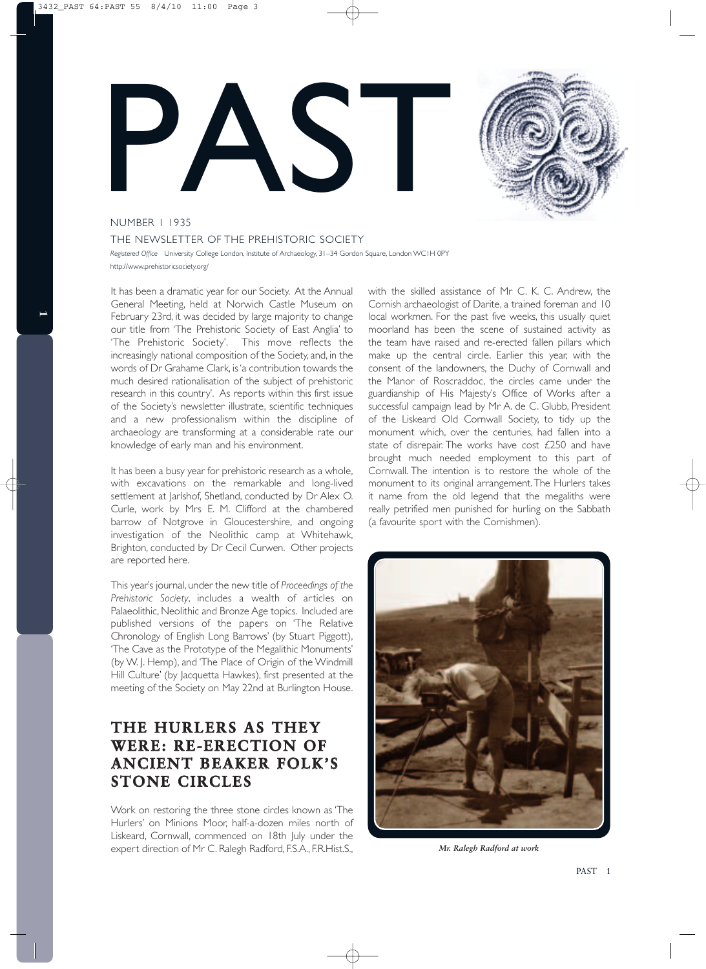



#### NUMBER 1 1935

THE NEWSLETTER OF THE PREHISTORIC SOCIETY *Registered Office* University College London, Institute of Archaeology, 31–34 Gordon Square, London WC1H 0PY http://www.prehistoricsociety.org/

It has been a dramatic year for our Society. At the Annual General Meeting, held at Norwich Castle Museum on February 23rd, it was decided by large majority to change our title from 'The Prehistoric Society of East Anglia' to 'The Prehistoric Society'. This move reflects the increasingly national composition of the Society, and, in the words of Dr Grahame Clark, is'a contribution towards the much desired rationalisation of the subject of prehistoric research in this country'. As reports within this first issue of the Society's newsletter illustrate, scientific techniques and a new professionalism within the discipline of archaeology are transforming at a considerable rate our knowledge of early man and his environment.

It has been a busy year for prehistoric research as a whole, with excavations on the remarkable and long-lived settlement at Jarlshof, Shetland, conducted by Dr Alex O. Curle, work by Mrs E. M. Clifford at the chambered barrow of Notgrove in Gloucestershire, and ongoing investigation of the Neolithic camp at Whitehawk, Brighton, conducted by Dr Cecil Curwen. Other projects are reported here.

This year's journal, under the new title of *Proceedings of the Prehistoric Society*, includes a wealth of articles on Palaeolithic, Neolithic and Bronze Age topics. Included are published versions of the papers on 'The Relative Chronology of English Long Barrows' (by Stuart Piggott), 'The Cave as the Prototype of the Megalithic Monuments' (by W. J. Hemp), and 'The Place of Origin of the Windmill Hill Culture' (by Jacquetta Hawkes), first presented at the meeting of the Society on May 22nd at Burlington House.

# **THE HURLERS AS THEY WERE: RE-ERECTION OF ANCIENT BEAKER FOLK'S STONE CIRCLES**

Work on restoring the three stone circles known as 'The Hurlers' on Minions Moor, half-a-dozen miles north of Liskeard, Cornwall, commenced on 18th July under the expert direction of Mr C. Ralegh Radford, F.S.A., F.R.Hist.S., with the skilled assistance of Mr C. K. C. Andrew, the Cornish archaeologist of Darite, a trained foreman and 10 local workmen. For the past five weeks, this usually quiet moorland has been the scene of sustained activity as the team have raised and re-erected fallen pillars which make up the central circle. Earlier this year, with the consent of the landowners, the Duchy of Cornwall and the Manor of Roscraddoc, the circles came under the guardianship of His Majesty's Office of Works after a successful campaign lead by Mr A. de C. Glubb, President of the Liskeard Old Cornwall Society, to tidy up the monument which, over the centuries, had fallen into a state of disrepair. The works have cost £250 and have brought much needed employment to this part of Cornwall. The intention is to restore the whole of the monument to its original arrangement.The Hurlers takes it name from the old legend that the megaliths were really petrified men punished for hurling on the Sabbath (a favourite sport with the Cornishmen).



*Mr. Ralegh Radford at work*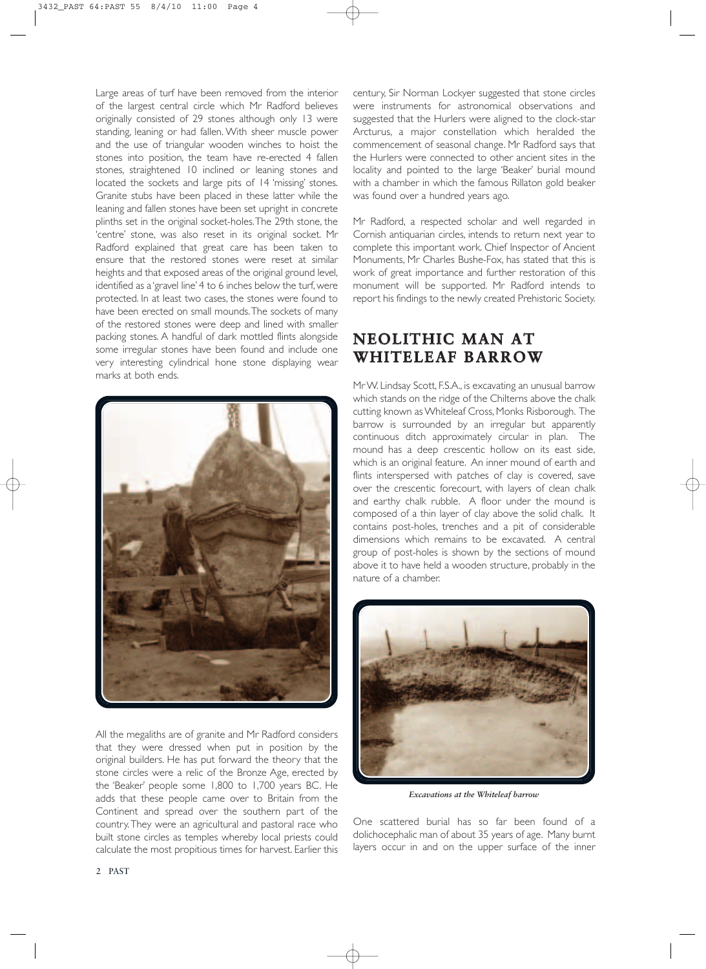Large areas of turf have been removed from the interior of the largest central circle which Mr Radford believes originally consisted of 29 stones although only 13 were standing, leaning or had fallen. With sheer muscle power and the use of triangular wooden winches to hoist the stones into position, the team have re-erected 4 fallen stones, straightened 10 inclined or leaning stones and located the sockets and large pits of 14 'missing' stones. Granite stubs have been placed in these latter while the leaning and fallen stones have been set upright in concrete plinths set in the original socket-holes.The 29th stone, the 'centre' stone, was also reset in its original socket. Mr Radford explained that great care has been taken to ensure that the restored stones were reset at similar heights and that exposed areas of the original ground level, identified as a 'gravel line' 4 to 6 inches below the turf, were protected. In at least two cases, the stones were found to have been erected on small mounds.The sockets of many of the restored stones were deep and lined with smaller packing stones. A handful of dark mottled flints alongside some irregular stones have been found and include one very interesting cylindrical hone stone displaying wear marks at both ends.



All the megaliths are of granite and Mr Radford considers that they were dressed when put in position by the original builders. He has put forward the theory that the stone circles were a relic of the Bronze Age, erected by the 'Beaker' people some 1,800 to 1,700 years BC. He adds that these people came over to Britain from the Continent and spread over the southern part of the country.They were an agricultural and pastoral race who built stone circles as temples whereby local priests could calculate the most propitious times for harvest. Earlier this

century, Sir Norman Lockyer suggested that stone circles were instruments for astronomical observations and suggested that the Hurlers were aligned to the clock-star Arcturus, a major constellation which heralded the commencement of seasonal change. Mr Radford says that the Hurlers were connected to other ancient sites in the locality and pointed to the large 'Beaker' burial mound with a chamber in which the famous Rillaton gold beaker was found over a hundred years ago.

Mr Radford, a respected scholar and well regarded in Cornish antiquarian circles, intends to return next year to complete this important work. Chief Inspector of Ancient Monuments, Mr Charles Bushe-Fox, has stated that this is work of great importance and further restoration of this monument will be supported. Mr Radford intends to report his findings to the newly created Prehistoric Society.

### **NEOLITHIC MAN AT WHITELEAF BARROW**

MrW. Lindsay Scott, F.S.A., is excavating an unusual barrow which stands on the ridge of the Chilterns above the chalk cutting known asWhiteleaf Cross, Monks Risborough. The barrow is surrounded by an irregular but apparently continuous ditch approximately circular in plan. The mound has a deep crescentic hollow on its east side, which is an original feature. An inner mound of earth and flints interspersed with patches of clay is covered, save over the crescentic forecourt, with layers of clean chalk and earthy chalk rubble. A floor under the mound is composed of a thin layer of clay above the solid chalk. It contains post-holes, trenches and a pit of considerable dimensions which remains to be excavated. A central group of post-holes is shown by the sections of mound above it to have held a wooden structure, probably in the nature of a chamber.



*Excavations at the Whiteleaf barrow*

One scattered burial has so far been found of a dolichocephalic man of about 35 years of age. Many burnt layers occur in and on the upper surface of the inner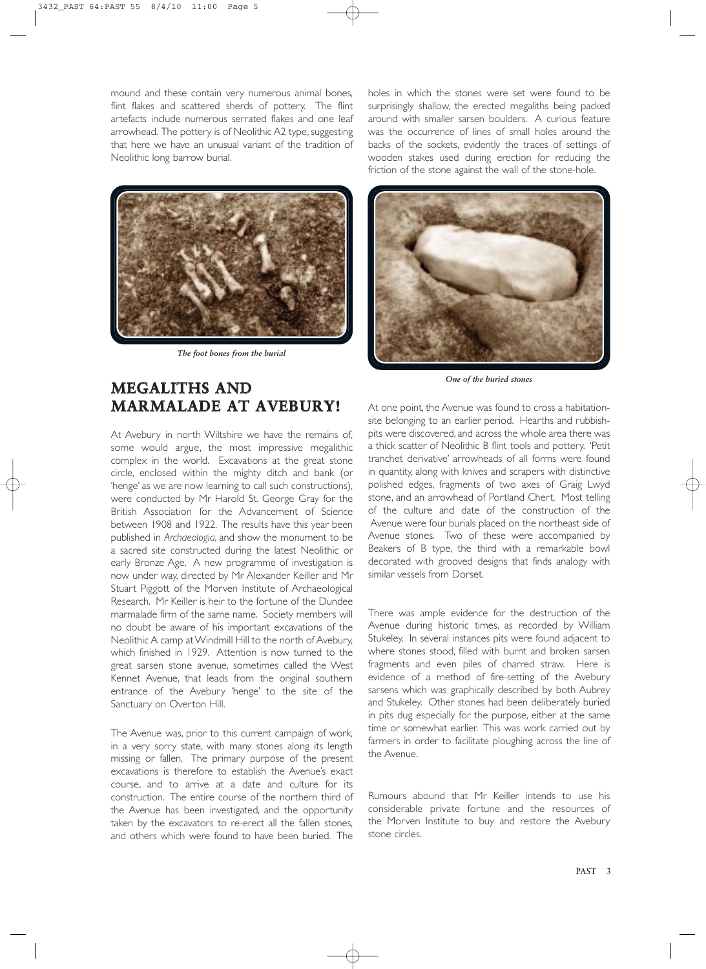mound and these contain very numerous animal bones, flint flakes and scattered sherds of pottery. The flint artefacts include numerous serrated flakes and one leaf arrowhead. The pottery is of Neolithic A2 type, suggesting that here we have an unusual variant of the tradition of Neolithic long barrow burial.



*The foot bones from the burial*

### **MEGALITHS AND MARMALADE AT AVEBURY!**

At Avebury in north Wiltshire we have the remains of, some would argue, the most impressive megalithic complex in the world. Excavations at the great stone circle, enclosed within the mighty ditch and bank (or 'henge' as we are now learning to call such constructions), were conducted by Mr Harold St. George Gray for the British Association for the Advancement of Science between 1908 and 1922. The results have this year been published in *Archaeologia*, and show the monument to be a sacred site constructed during the latest Neolithic or early Bronze Age. A new programme of investigation is now under way, directed by Mr Alexander Keiller and Mr Stuart Piggott of the Morven Institute of Archaeological Research. Mr Keiller is heir to the fortune of the Dundee marmalade firm of the same name. Society members will no doubt be aware of his important excavations of the Neolithic A camp atWindmill Hill to the north of Avebury, which finished in 1929. Attention is now turned to the great sarsen stone avenue, sometimes called the West Kennet Avenue, that leads from the original southern entrance of the Avebury 'henge' to the site of the Sanctuary on Overton Hill.

The Avenue was, prior to this current campaign of work, in a very sorry state, with many stones along its length missing or fallen. The primary purpose of the present excavations is therefore to establish the Avenue's exact course, and to arrive at a date and culture for its construction. The entire course of the northern third of the Avenue has been investigated, and the opportunity taken by the excavators to re-erect all the fallen stones, and others which were found to have been buried. The

holes in which the stones were set were found to be surprisingly shallow, the erected megaliths being packed around with smaller sarsen boulders. A curious feature was the occurrence of lines of small holes around the backs of the sockets, evidently the traces of settings of wooden stakes used during erection for reducing the friction of the stone against the wall of the stone-hole.



*One of the buried stones*

At one point, the Avenue was found to cross a habitationsite belonging to an earlier period. Hearths and rubbishpits were discovered, and across the whole area there was a thick scatter of Neolithic B flint tools and pottery. 'Petit tranchet derivative' arrowheads of all forms were found in quantity, along with knives and scrapers with distinctive polished edges, fragments of two axes of Graig Lwyd stone, and an arrowhead of Portland Chert. Most telling of the culture and date of the construction of the Avenue were four burials placed on the northeast side of Avenue stones. Two of these were accompanied by Beakers of B type, the third with a remarkable bowl decorated with grooved designs that finds analogy with similar vessels from Dorset.

There was ample evidence for the destruction of the Avenue during historic times, as recorded by William Stukeley. In several instances pits were found adjacent to where stones stood, filled with burnt and broken sarsen fragments and even piles of charred straw. Here is evidence of a method of fire-setting of the Avebury sarsens which was graphically described by both Aubrey and Stukeley. Other stones had been deliberately buried in pits dug especially for the purpose, either at the same time or somewhat earlier. This was work carried out by farmers in order to facilitate ploughing across the line of the Avenue.

Rumours abound that Mr Keiller intends to use his considerable private fortune and the resources of the Morven Institute to buy and restore the Avebury stone circles.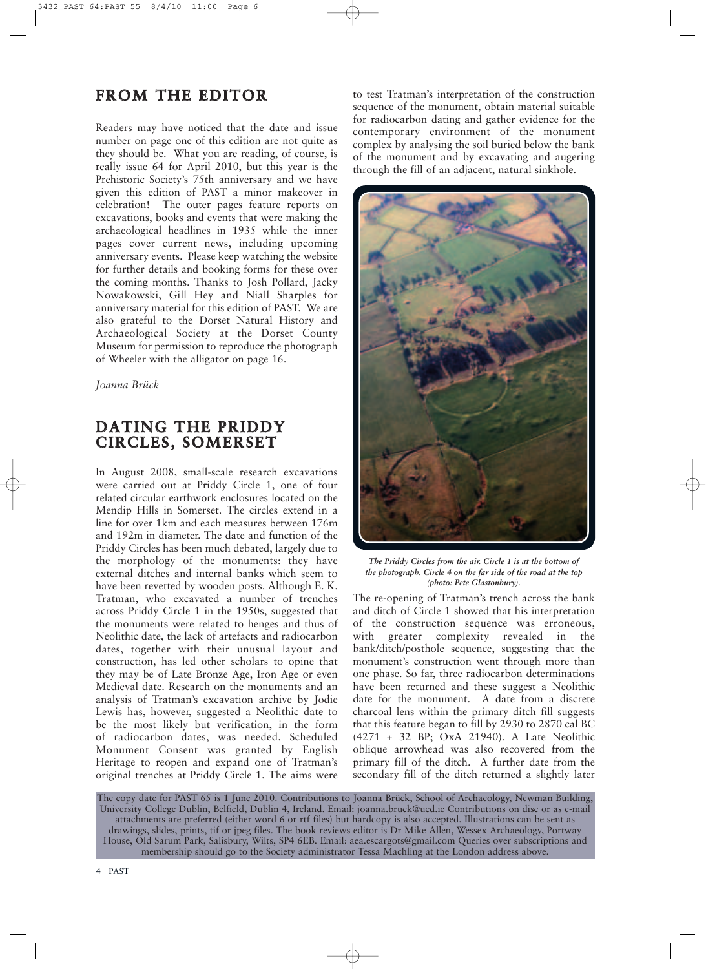### **FROM THE EDITOR**

Readers may have noticed that the date and issue number on page one of this edition are not quite as they should be. What you are reading, of course, is really issue 64 for April 2010, but this year is the Prehistoric Society's 75th anniversary and we have given this edition of PAST a minor makeover in celebration! The outer pages feature reports on excavations, books and events that were making the archaeological headlines in 1935 while the inner pages cover current news, including upcoming anniversary events. Please keep watching the website for further details and booking forms for these over the coming months. Thanks to Josh Pollard, Jacky Nowakowski, Gill Hey and Niall Sharples for anniversary material for this edition of PAST. We are also grateful to the Dorset Natural History and Archaeological Society at the Dorset County Museum for permission to reproduce the photograph of Wheeler with the alligator on page 16.

*Joanna Brück*

### **DATING THE PRIDDY CIRCLES, SOMERSET**

In August 2008, small-scale research excavations were carried out at Priddy Circle 1, one of four related circular earthwork enclosures located on the Mendip Hills in Somerset. The circles extend in a line for over 1km and each measures between 176m and 192m in diameter. The date and function of the Priddy Circles has been much debated, largely due to the morphology of the monuments: they have external ditches and internal banks which seem to have been revetted by wooden posts. Although E. K. Tratman, who excavated a number of trenches across Priddy Circle 1 in the 1950s, suggested that the monuments were related to henges and thus of Neolithic date, the lack of artefacts and radiocarbon dates, together with their unusual layout and construction, has led other scholars to opine that they may be of Late Bronze Age, Iron Age or even Medieval date. Research on the monuments and an analysis of Tratman's excavation archive by Jodie Lewis has, however, suggested a Neolithic date to be the most likely but verification, in the form of radiocarbon dates, was needed. Scheduled Monument Consent was granted by English Heritage to reopen and expand one of Tratman's original trenches at Priddy Circle 1. The aims were to test Tratman's interpretation of the construction sequence of the monument, obtain material suitable for radiocarbon dating and gather evidence for the contemporary environment of the monument complex by analysing the soil buried below the bank of the monument and by excavating and augering through the fill of an adjacent, natural sinkhole.



*The Priddy Circles from the air. Circle 1 is at the bottom of the photograph, Circle 4 on the far side of the road at the top (photo: Pete Glastonbury).*

The re-opening of Tratman's trench across the bank and ditch of Circle 1 showed that his interpretation of the construction sequence was erroneous, with greater complexity revealed in the bank/ditch/posthole sequence, suggesting that the monument's construction went through more than one phase. So far, three radiocarbon determinations have been returned and these suggest a Neolithic date for the monument. A date from a discrete charcoal lens within the primary ditch fill suggests that this feature began to fill by 2930 to 2870 cal BC (4271 + 32 BP; OxA 21940). A Late Neolithic oblique arrowhead was also recovered from the primary fill of the ditch. A further date from the secondary fill of the ditch returned a slightly later

The copy date for PAST 65 is 1 June 2010. Contributions to Joanna Brück, School of Archaeology, Newman Building, University College Dublin, Belfield, Dublin 4, Ireland. Email: joanna.bruck@ucd.ie Contributions on disc or as e-mail attachments are preferred (either word 6 or rtf files) but hardcopy is also accepted. Illustrations can be sent as drawings, slides, prints, tif or jpeg files. The book reviews editor is Dr Mike Allen, Wessex Archaeology, Portway House, Old Sarum Park, Salisbury, Wilts, SP4 6EB. Email: aea.escargots@gmail.com Queries over subscriptions and membership should go to the Society administrator Tessa Machling at the London address above.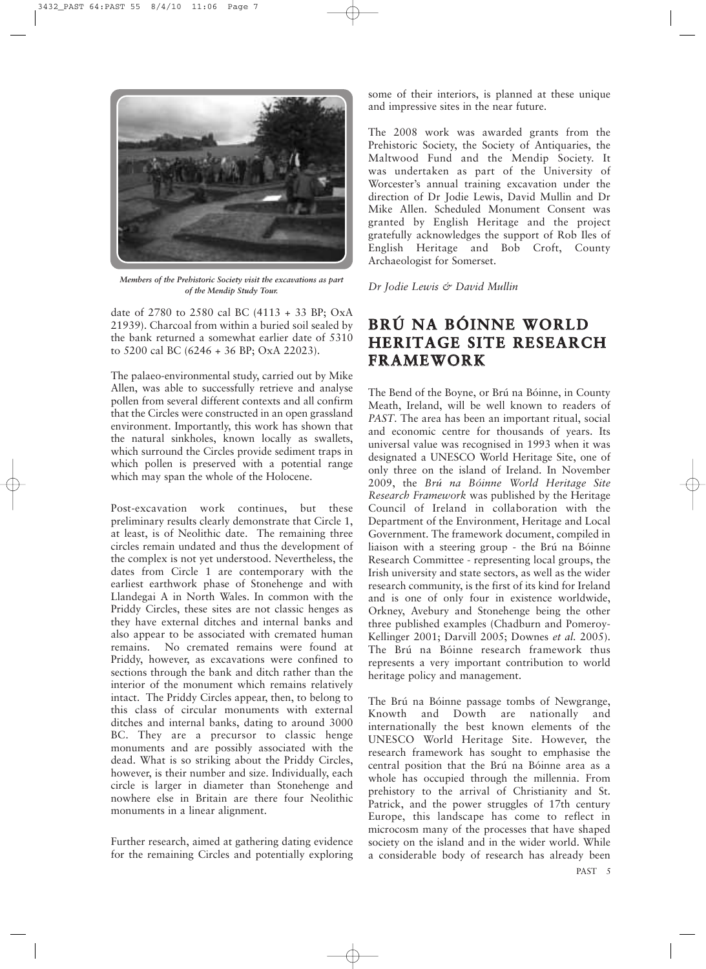

*Members of the Prehistoric Society visit the excavations as part of the Mendip Study Tour.*

date of 2780 to 2580 cal BC (4113 + 33 BP; OxA 21939). Charcoal from within a buried soil sealed by the bank returned a somewhat earlier date of 5310 to 5200 cal BC (6246 + 36 BP; OxA 22023).

The palaeo-environmental study, carried out by Mike Allen, was able to successfully retrieve and analyse pollen from several different contexts and all confirm that the Circles were constructed in an open grassland environment. Importantly, this work has shown that the natural sinkholes, known locally as swallets, which surround the Circles provide sediment traps in which pollen is preserved with a potential range which may span the whole of the Holocene.

Post-excavation work continues, but these preliminary results clearly demonstrate that Circle 1, at least, is of Neolithic date. The remaining three circles remain undated and thus the development of the complex is not yet understood. Nevertheless, the dates from Circle 1 are contemporary with the earliest earthwork phase of Stonehenge and with Llandegai A in North Wales. In common with the Priddy Circles, these sites are not classic henges as they have external ditches and internal banks and also appear to be associated with cremated human remains. No cremated remains were found at Priddy, however, as excavations were confined to sections through the bank and ditch rather than the interior of the monument which remains relatively intact. The Priddy Circles appear, then, to belong to this class of circular monuments with external ditches and internal banks, dating to around 3000 BC. They are a precursor to classic henge monuments and are possibly associated with the dead. What is so striking about the Priddy Circles, however, is their number and size. Individually, each circle is larger in diameter than Stonehenge and nowhere else in Britain are there four Neolithic monuments in a linear alignment.

Further research, aimed at gathering dating evidence for the remaining Circles and potentially exploring

some of their interiors, is planned at these unique and impressive sites in the near future.

The 2008 work was awarded grants from the Prehistoric Society, the Society of Antiquaries, the Maltwood Fund and the Mendip Society. It was undertaken as part of the University of Worcester's annual training excavation under the direction of Dr Jodie Lewis, David Mullin and Dr Mike Allen. Scheduled Monument Consent was granted by English Heritage and the project gratefully acknowledges the support of Rob Iles of English Heritage and Bob Croft, County Archaeologist for Somerset.

*Dr Jodie Lewis & David Mullin*

## **BRÚ NA BÓINNE WORLD HERITAGE SITE RESEARCH FRAMEWORK**

The Bend of the Boyne, or Brú na Bóinne, in County Meath, Ireland, will be well known to readers of *PAST*. The area has been an important ritual, social and economic centre for thousands of years. Its universal value was recognised in 1993 when it was designated a UNESCO World Heritage Site, one of only three on the island of Ireland. In November 2009, the *Brú na Bóinne World Heritage Site Research Framework* was published by the Heritage Council of Ireland in collaboration with the Department of the Environment, Heritage and Local Government. The framework document, compiled in liaison with a steering group - the Brú na Bóinne Research Committee - representing local groups, the Irish university and state sectors, as well as the wider research community, is the first of its kind for Ireland and is one of only four in existence worldwide, Orkney, Avebury and Stonehenge being the other three published examples (Chadburn and Pomeroy-Kellinger 2001; Darvill 2005; Downes *et al.* 2005). The Brú na Bóinne research framework thus represents a very important contribution to world heritage policy and management.

PAST 5 The Brú na Bóinne passage tombs of Newgrange, Knowth and Dowth are nationally and internationally the best known elements of the UNESCO World Heritage Site. However, the research framework has sought to emphasise the central position that the Brú na Bóinne area as a whole has occupied through the millennia. From prehistory to the arrival of Christianity and St. Patrick, and the power struggles of 17th century Europe, this landscape has come to reflect in microcosm many of the processes that have shaped society on the island and in the wider world. While a considerable body of research has already been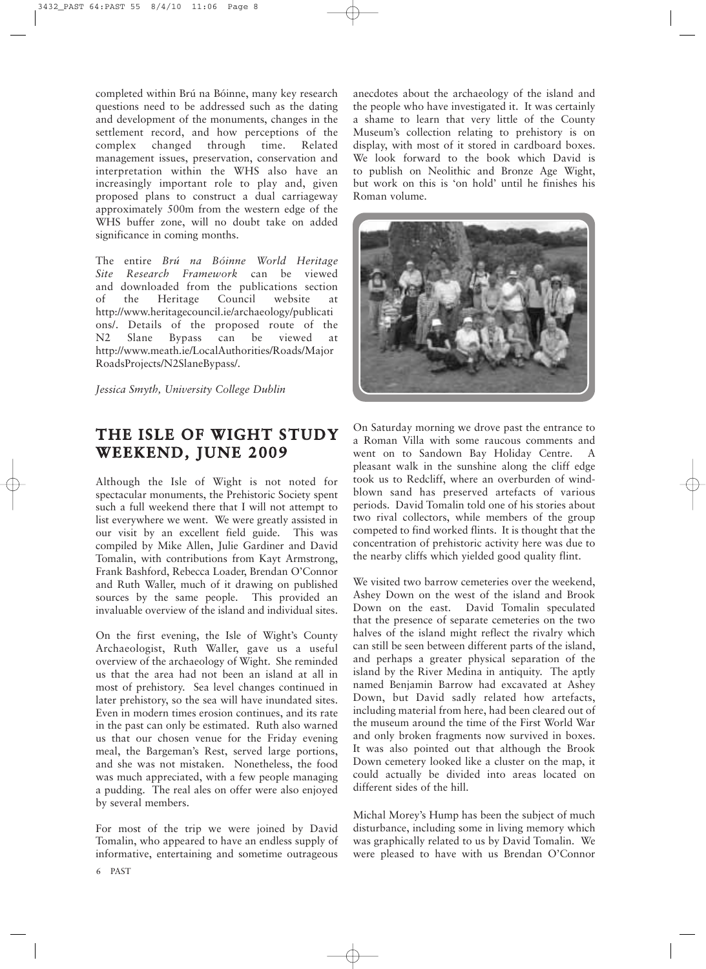completed within Brú na Bóinne, many key research questions need to be addressed such as the dating and development of the monuments, changes in the settlement record, and how perceptions of the complex changed through time. Related management issues, preservation, conservation and interpretation within the WHS also have an increasingly important role to play and, given proposed plans to construct a dual carriageway approximately 500m from the western edge of the WHS buffer zone, will no doubt take on added significance in coming months.

The entire *Brú na Bóinne World Heritage Site Research Framework* can be viewed and downloaded from the publications section of the Heritage Council website at http://www.heritagecouncil.ie/archaeology/publicati ons/. Details of the proposed route of the N2 Slane Bypass can be viewed at http://www.meath.ie/LocalAuthorities/Roads/Major RoadsProjects/N2SlaneBypass/.

*Jessica Smyth, University College Dublin*

## **THE ISLE OF WIGHT STUDY WEEKEND, JUNE 2009**

Although the Isle of Wight is not noted for spectacular monuments, the Prehistoric Society spent such a full weekend there that I will not attempt to list everywhere we went. We were greatly assisted in our visit by an excellent field guide. This was compiled by Mike Allen, Julie Gardiner and David Tomalin, with contributions from Kayt Armstrong, Frank Bashford, Rebecca Loader, Brendan O'Connor and Ruth Waller, much of it drawing on published sources by the same people. This provided an invaluable overview of the island and individual sites.

On the first evening, the Isle of Wight's County Archaeologist, Ruth Waller, gave us a useful overview of the archaeology of Wight. She reminded us that the area had not been an island at all in most of prehistory. Sea level changes continued in later prehistory, so the sea will have inundated sites. Even in modern times erosion continues, and its rate in the past can only be estimated. Ruth also warned us that our chosen venue for the Friday evening meal, the Bargeman's Rest, served large portions, and she was not mistaken. Nonetheless, the food was much appreciated, with a few people managing a pudding. The real ales on offer were also enjoyed by several members.

For most of the trip we were joined by David Tomalin, who appeared to have an endless supply of informative, entertaining and sometime outrageous anecdotes about the archaeology of the island and the people who have investigated it. It was certainly a shame to learn that very little of the County Museum's collection relating to prehistory is on display, with most of it stored in cardboard boxes. We look forward to the book which David is to publish on Neolithic and Bronze Age Wight, but work on this is 'on hold' until he finishes his Roman volume.



On Saturday morning we drove past the entrance to a Roman Villa with some raucous comments and went on to Sandown Bay Holiday Centre. A pleasant walk in the sunshine along the cliff edge took us to Redcliff, where an overburden of windblown sand has preserved artefacts of various periods. David Tomalin told one of his stories about two rival collectors, while members of the group competed to find worked flints. It is thought that the concentration of prehistoric activity here was due to the nearby cliffs which yielded good quality flint.

We visited two barrow cemeteries over the weekend, Ashey Down on the west of the island and Brook Down on the east. David Tomalin speculated that the presence of separate cemeteries on the two halves of the island might reflect the rivalry which can still be seen between different parts of the island, and perhaps a greater physical separation of the island by the River Medina in antiquity. The aptly named Benjamin Barrow had excavated at Ashey Down, but David sadly related how artefacts, including material from here, had been cleared out of the museum around the time of the First World War and only broken fragments now survived in boxes. It was also pointed out that although the Brook Down cemetery looked like a cluster on the map, it could actually be divided into areas located on different sides of the hill.

Michal Morey's Hump has been the subject of much disturbance, including some in living memory which was graphically related to us by David Tomalin. We were pleased to have with us Brendan O'Connor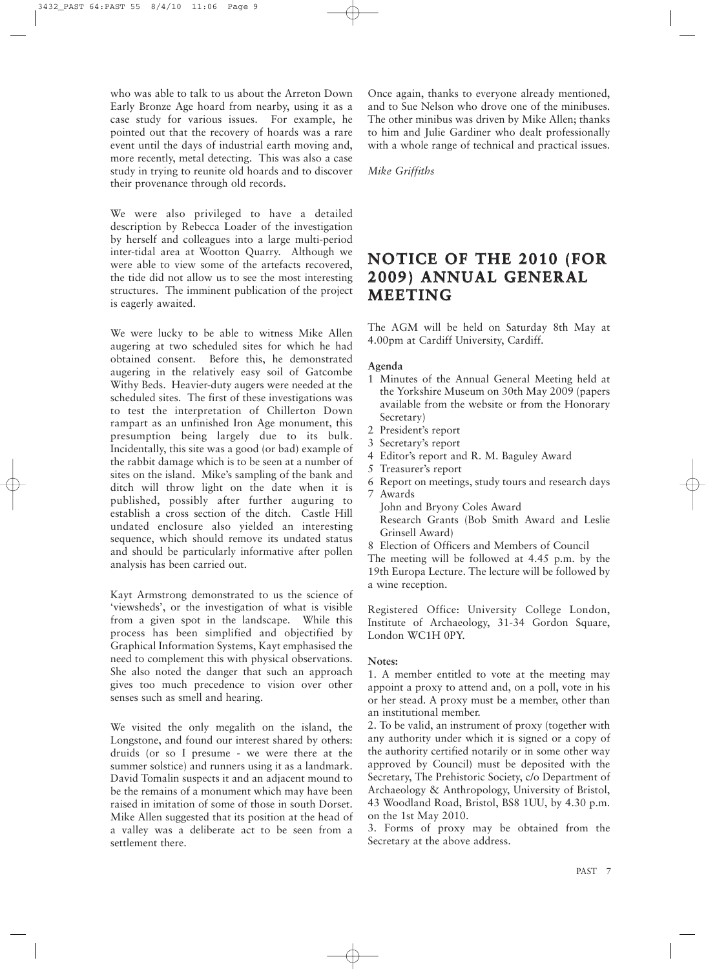who was able to talk to us about the Arreton Down Early Bronze Age hoard from nearby, using it as a case study for various issues. For example, he pointed out that the recovery of hoards was a rare event until the days of industrial earth moving and, more recently, metal detecting. This was also a case study in trying to reunite old hoards and to discover their provenance through old records.

We were also privileged to have a detailed description by Rebecca Loader of the investigation by herself and colleagues into a large multi-period inter-tidal area at Wootton Quarry. Although we were able to view some of the artefacts recovered, the tide did not allow us to see the most interesting structures. The imminent publication of the project is eagerly awaited.

We were lucky to be able to witness Mike Allen augering at two scheduled sites for which he had obtained consent. Before this, he demonstrated augering in the relatively easy soil of Gatcombe Withy Beds. Heavier-duty augers were needed at the scheduled sites. The first of these investigations was to test the interpretation of Chillerton Down rampart as an unfinished Iron Age monument, this presumption being largely due to its bulk. Incidentally, this site was a good (or bad) example of the rabbit damage which is to be seen at a number of sites on the island. Mike's sampling of the bank and ditch will throw light on the date when it is published, possibly after further auguring to establish a cross section of the ditch. Castle Hill undated enclosure also yielded an interesting sequence, which should remove its undated status and should be particularly informative after pollen analysis has been carried out.

Kayt Armstrong demonstrated to us the science of 'viewsheds', or the investigation of what is visible from a given spot in the landscape. While this process has been simplified and objectified by Graphical Information Systems, Kayt emphasised the need to complement this with physical observations. She also noted the danger that such an approach gives too much precedence to vision over other senses such as smell and hearing.

We visited the only megalith on the island, the Longstone, and found our interest shared by others: druids (or so I presume - we were there at the summer solstice) and runners using it as a landmark. David Tomalin suspects it and an adjacent mound to be the remains of a monument which may have been raised in imitation of some of those in south Dorset. Mike Allen suggested that its position at the head of a valley was a deliberate act to be seen from a settlement there.

Once again, thanks to everyone already mentioned, and to Sue Nelson who drove one of the minibuses. The other minibus was driven by Mike Allen; thanks to him and Julie Gardiner who dealt professionally with a whole range of technical and practical issues.

*Mike Griffiths*

### **NOTICE OF THE 2010 (FOR 2009) ANNUAL GENERAL MEETING**

The AGM will be held on Saturday 8th May at 4.00pm at Cardiff University, Cardiff.

#### **Agenda**

- 1 Minutes of the Annual General Meeting held at the Yorkshire Museum on 30th May 2009 (papers available from the website or from the Honorary Secretary)
- 2 President's report
- 3 Secretary's report
- 4 Editor's report and R. M. Baguley Award
- 5 Treasurer's report
- 6 Report on meetings, study tours and research days
- 7 Awards
- John and Bryony Coles Award Research Grants (Bob Smith Award and Leslie Grinsell Award)
- 8 Election of Officers and Members of Council

The meeting will be followed at 4.45 p.m. by the 19th Europa Lecture. The lecture will be followed by a wine reception.

Registered Office: University College London, Institute of Archaeology, 31-34 Gordon Square, London WC1H 0PY.

#### **Notes:**

1. A member entitled to vote at the meeting may appoint a proxy to attend and, on a poll, vote in his or her stead. A proxy must be a member, other than an institutional member.

2. To be valid, an instrument of proxy (together with any authority under which it is signed or a copy of the authority certified notarily or in some other way approved by Council) must be deposited with the Secretary, The Prehistoric Society, c/o Department of Archaeology & Anthropology, University of Bristol, 43 Woodland Road, Bristol, BS8 1UU, by 4.30 p.m. on the 1st May 2010.

3. Forms of proxy may be obtained from the Secretary at the above address.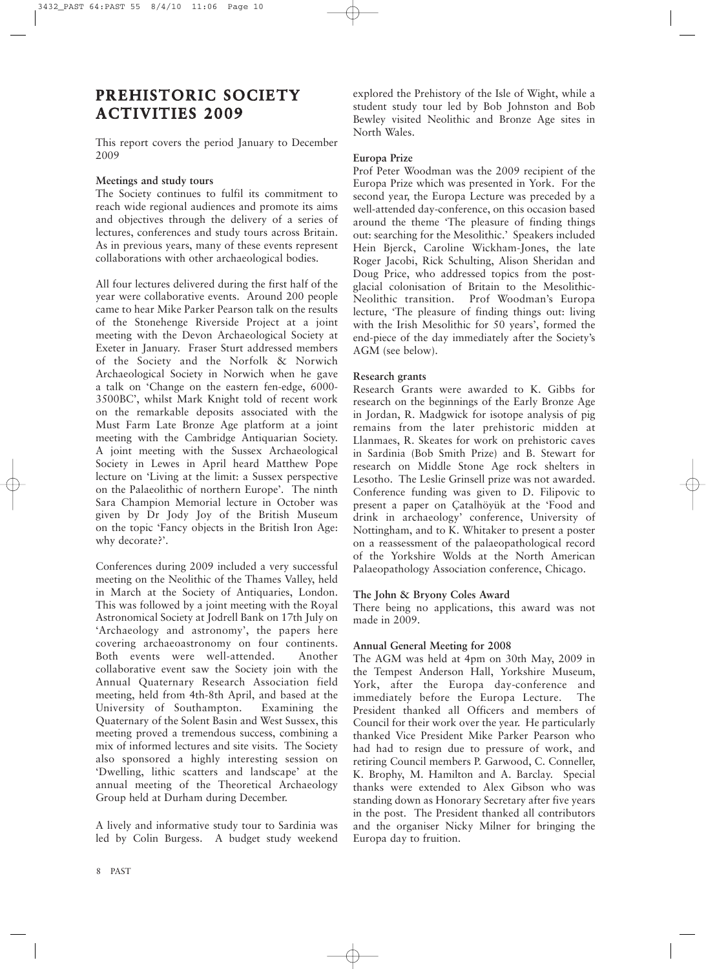# **PREHISTORIC SOCIETY ACTIVITIES 2009**

This report covers the period January to December 2009

#### **Meetings and study tours**

The Society continues to fulfil its commitment to reach wide regional audiences and promote its aims and objectives through the delivery of a series of lectures, conferences and study tours across Britain. As in previous years, many of these events represent collaborations with other archaeological bodies.

All four lectures delivered during the first half of the year were collaborative events. Around 200 people came to hear Mike Parker Pearson talk on the results of the Stonehenge Riverside Project at a joint meeting with the Devon Archaeological Society at Exeter in January. Fraser Sturt addressed members of the Society and the Norfolk & Norwich Archaeological Society in Norwich when he gave a talk on 'Change on the eastern fen-edge, 6000- 3500BC', whilst Mark Knight told of recent work on the remarkable deposits associated with the Must Farm Late Bronze Age platform at a joint meeting with the Cambridge Antiquarian Society. A joint meeting with the Sussex Archaeological Society in Lewes in April heard Matthew Pope lecture on 'Living at the limit: a Sussex perspective on the Palaeolithic of northern Europe'. The ninth Sara Champion Memorial lecture in October was given by Dr Jody Joy of the British Museum on the topic 'Fancy objects in the British Iron Age: why decorate?'.

Conferences during 2009 included a very successful meeting on the Neolithic of the Thames Valley, held in March at the Society of Antiquaries, London. This was followed by a joint meeting with the Royal Astronomical Society at Jodrell Bank on 17th July on 'Archaeology and astronomy', the papers here covering archaeoastronomy on four continents. Both events were well-attended. Another collaborative event saw the Society join with the Annual Quaternary Research Association field meeting, held from 4th-8th April, and based at the University of Southampton. Examining the Quaternary of the Solent Basin and West Sussex, this meeting proved a tremendous success, combining a mix of informed lectures and site visits. The Society also sponsored a highly interesting session on 'Dwelling, lithic scatters and landscape' at the annual meeting of the Theoretical Archaeology Group held at Durham during December.

A lively and informative study tour to Sardinia was led by Colin Burgess. A budget study weekend explored the Prehistory of the Isle of Wight, while a student study tour led by Bob Johnston and Bob Bewley visited Neolithic and Bronze Age sites in North Wales.

#### **Europa Prize**

Prof Peter Woodman was the 2009 recipient of the Europa Prize which was presented in York. For the second year, the Europa Lecture was preceded by a well-attended day-conference, on this occasion based around the theme 'The pleasure of finding things out: searching for the Mesolithic.' Speakers included Hein Bjerck, Caroline Wickham-Jones, the late Roger Jacobi, Rick Schulting, Alison Sheridan and Doug Price, who addressed topics from the postglacial colonisation of Britain to the Mesolithic-Neolithic transition. Prof Woodman's Europa lecture, 'The pleasure of finding things out: living with the Irish Mesolithic for 50 years', formed the end-piece of the day immediately after the Society's AGM (see below).

#### **Research grants**

Research Grants were awarded to K. Gibbs for research on the beginnings of the Early Bronze Age in Jordan, R. Madgwick for isotope analysis of pig remains from the later prehistoric midden at Llanmaes, R. Skeates for work on prehistoric caves in Sardinia (Bob Smith Prize) and B. Stewart for research on Middle Stone Age rock shelters in Lesotho. The Leslie Grinsell prize was not awarded. Conference funding was given to D. Filipovic to present a paper on Çatalhöyük at the 'Food and drink in archaeology' conference, University of Nottingham, and to K. Whitaker to present a poster on a reassessment of the palaeopathological record of the Yorkshire Wolds at the North American Palaeopathology Association conference, Chicago.

#### **The John & Bryony Coles Award**

There being no applications, this award was not made in 2009.

#### **Annual General Meeting for 2008**

The AGM was held at 4pm on 30th May, 2009 in the Tempest Anderson Hall, Yorkshire Museum, York, after the Europa day-conference and immediately before the Europa Lecture. The President thanked all Officers and members of Council for their work over the year. He particularly thanked Vice President Mike Parker Pearson who had had to resign due to pressure of work, and retiring Council members P. Garwood, C. Conneller, K. Brophy, M. Hamilton and A. Barclay. Special thanks were extended to Alex Gibson who was standing down as Honorary Secretary after five years in the post. The President thanked all contributors and the organiser Nicky Milner for bringing the Europa day to fruition.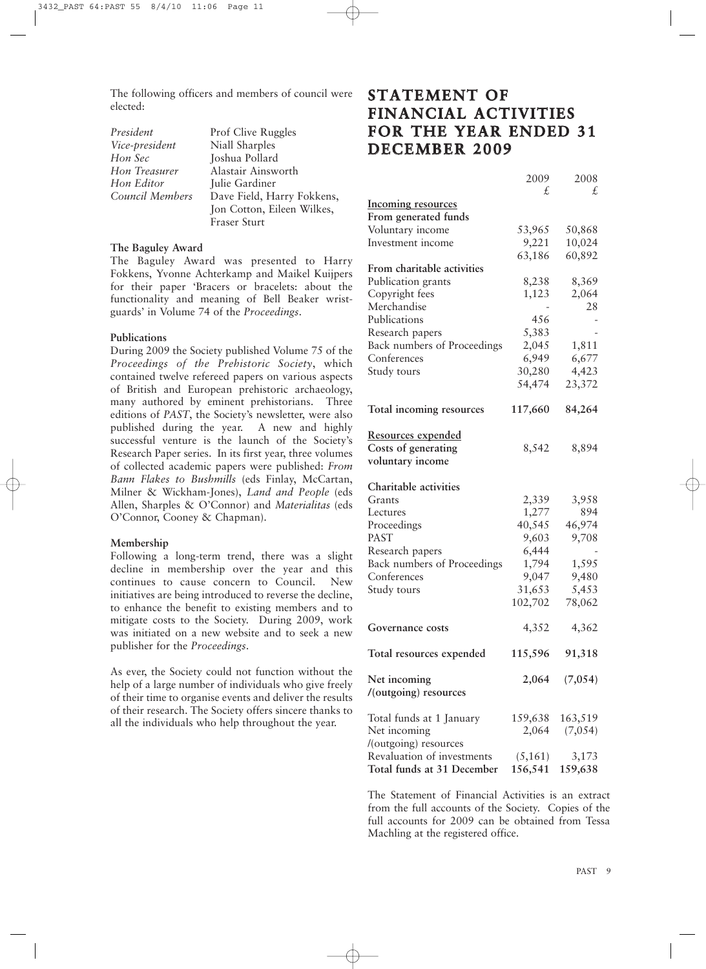The following officers and members of council were elected:

*President* Prof Clive Ruggles *Vice-president* Niall Sharples *Hon Sec* Joshua Pollard *Hon Editor* **Julie Gardiner** 

*Hon Treasurer* Alastair Ainsworth *Council Members* Dave Field, Harry Fokkens, Jon Cotton, Eileen Wilkes, Fraser Sturt

#### **The Baguley Award**

The Baguley Award was presented to Harry Fokkens, Yvonne Achterkamp and Maikel Kuijpers for their paper 'Bracers or bracelets: about the functionality and meaning of Bell Beaker wristguards' in Volume 74 of the *Proceedings*.

#### **Publications**

During 2009 the Society published Volume 75 of the *Proceedings of the Prehistoric Society*, which contained twelve refereed papers on various aspects of British and European prehistoric archaeology, many authored by eminent prehistorians. Three editions of *PAST*, the Society's newsletter, were also published during the year. A new and highly successful venture is the launch of the Society's Research Paper series. In its first year, three volumes of collected academic papers were published: *From Bann Flakes to Bushmills* (eds Finlay, McCartan, Milner & Wickham-Jones), *Land and People* (eds Allen, Sharples & O'Connor) and *Materialitas* (eds O'Connor, Cooney & Chapman).

#### **Membership**

Following a long-term trend, there was a slight decline in membership over the year and this continues to cause concern to Council. New initiatives are being introduced to reverse the decline, to enhance the benefit to existing members and to mitigate costs to the Society. During 2009, work was initiated on a new website and to seek a new publisher for the *Proceedings*.

As ever, the Society could not function without the help of a large number of individuals who give freely of their time to organise events and deliver the results of their research. The Society offers sincere thanks to all the individuals who help throughout the year.

# **STATEMENT OF FINANCIAL ACTIVITIES FOR THE YEAR ENDED 31 DECEMBER 2009**

|                                       | 2009             | 2008    |
|---------------------------------------|------------------|---------|
|                                       | £,               | £,      |
| <b>Incoming resources</b>             |                  |         |
| From generated funds                  |                  |         |
| Voluntary income                      | 53,965           | 50,868  |
| Investment income                     | 9,221            | 10,024  |
|                                       | 63,186           | 60,892  |
| From charitable activities            |                  |         |
| Publication grants                    | 8,238            | 8,369   |
| Copyright fees                        | 1,123            | 2,064   |
| Merchandise                           |                  | 28      |
| Publications                          | 456              |         |
| Research papers                       | 5,383            |         |
| Back numbers of Proceedings           | 2,045            | 1,811   |
| Conferences                           | 6,949            | 6,677   |
| Study tours                           | 30,280           | 4,423   |
|                                       | 54,474           | 23,372  |
|                                       |                  |         |
| Total incoming resources              | 117,660          | 84,264  |
|                                       |                  |         |
| <b>Resources expended</b>             |                  |         |
| Costs of generating                   | 8,542            | 8,894   |
| voluntary income                      |                  |         |
|                                       |                  |         |
| Charitable activities                 |                  |         |
| Grants                                | 2,339            | 3,958   |
| Lectures                              | 1,277            | 894     |
| Proceedings                           | 40,545           | 46,974  |
| <b>PAST</b>                           | 9,603            | 9,708   |
| Research papers                       | 6,444            |         |
| Back numbers of Proceedings           | 1,794            | 1,595   |
| Conferences                           | 9,047            | 9,480   |
|                                       | 31,653           | 5,453   |
| Study tours                           |                  |         |
|                                       | 102,702          | 78,062  |
|                                       |                  |         |
| Governance costs                      | 4,352            | 4,362   |
| Total resources expended              | 115,596          | 91,318  |
|                                       |                  |         |
|                                       | 2,064            | (7,054) |
| Net incoming<br>/(outgoing) resources |                  |         |
|                                       |                  |         |
| Total funds at 1 January              |                  | 163,519 |
|                                       | 159,638<br>2,064 |         |
| Net incoming                          |                  | (7,054) |
| /(outgoing) resources                 |                  |         |
| Revaluation of investments            | (5, 161)         | 3,173   |
| Total funds at 31 December            | 156,541          | 159,638 |

The Statement of Financial Activities is an extract from the full accounts of the Society. Copies of the full accounts for 2009 can be obtained from Tessa Machling at the registered office.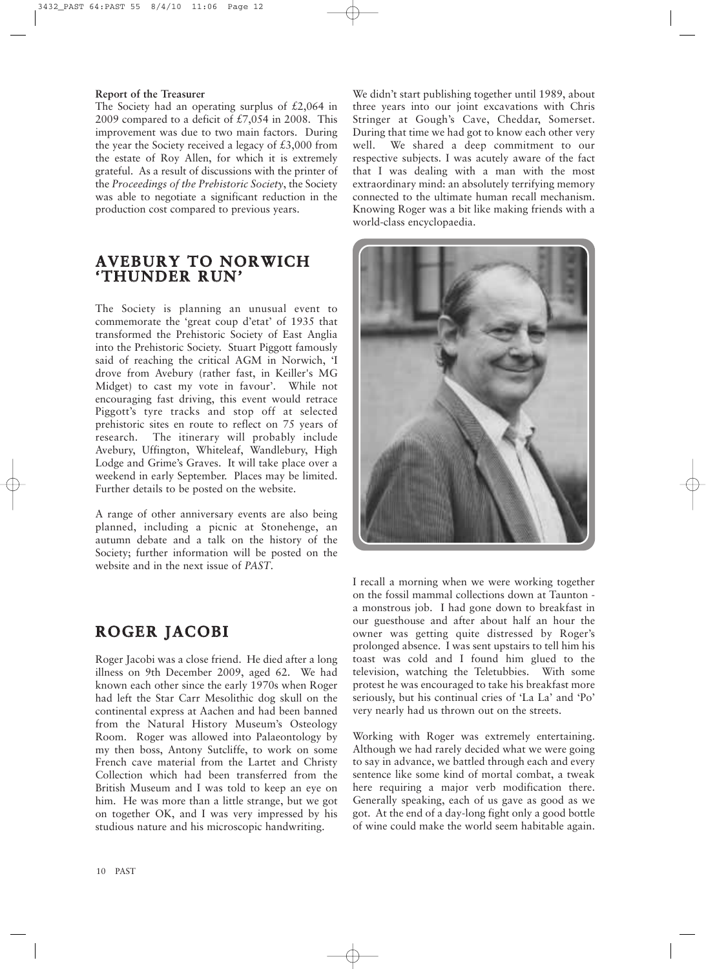#### **Report of the Treasurer**

The Society had an operating surplus of  $£2,064$  in 2009 compared to a deficit of  $£7,054$  in 2008. This improvement was due to two main factors. During the year the Society received a legacy of £3,000 from the estate of Roy Allen, for which it is extremely grateful. As a result of discussions with the printer of the *Proceedings of the Prehistoric Society*, the Society was able to negotiate a significant reduction in the production cost compared to previous years.

# **AVEBURY TO NORWICH 'THUNDER RUN'**

The Society is planning an unusual event to commemorate the 'great coup d'etat' of 1935 that transformed the Prehistoric Society of East Anglia into the Prehistoric Society. Stuart Piggott famously said of reaching the critical AGM in Norwich, 'I drove from Avebury (rather fast, in Keiller's MG Midget) to cast my vote in favour'. While not encouraging fast driving, this event would retrace Piggott's tyre tracks and stop off at selected prehistoric sites en route to reflect on 75 years of research. The itinerary will probably include Avebury, Uffington, Whiteleaf, Wandlebury, High Lodge and Grime's Graves. It will take place over a weekend in early September. Places may be limited. Further details to be posted on the website.

A range of other anniversary events are also being planned, including a picnic at Stonehenge, an autumn debate and a talk on the history of the Society; further information will be posted on the website and in the next issue of *PAST*.

### **ROGER JACOBI**

Roger Jacobi was a close friend. He died after a long illness on 9th December 2009, aged 62. We had known each other since the early 1970s when Roger had left the Star Carr Mesolithic dog skull on the continental express at Aachen and had been banned from the Natural History Museum's Osteology Room. Roger was allowed into Palaeontology by my then boss, Antony Sutcliffe, to work on some French cave material from the Lartet and Christy Collection which had been transferred from the British Museum and I was told to keep an eye on him. He was more than a little strange, but we got on together OK, and I was very impressed by his studious nature and his microscopic handwriting.

We didn't start publishing together until 1989, about three years into our joint excavations with Chris Stringer at Gough's Cave, Cheddar, Somerset. During that time we had got to know each other very well. We shared a deep commitment to our respective subjects. I was acutely aware of the fact that I was dealing with a man with the most extraordinary mind: an absolutely terrifying memory connected to the ultimate human recall mechanism. Knowing Roger was a bit like making friends with a world-class encyclopaedia.



I recall a morning when we were working together on the fossil mammal collections down at Taunton a monstrous job. I had gone down to breakfast in our guesthouse and after about half an hour the owner was getting quite distressed by Roger's prolonged absence. I was sent upstairs to tell him his toast was cold and I found him glued to the television, watching the Teletubbies. With some protest he was encouraged to take his breakfast more seriously, but his continual cries of 'La La' and 'Po' very nearly had us thrown out on the streets.

Working with Roger was extremely entertaining. Although we had rarely decided what we were going to say in advance, we battled through each and every sentence like some kind of mortal combat, a tweak here requiring a major verb modification there. Generally speaking, each of us gave as good as we got. At the end of a day-long fight only a good bottle of wine could make the world seem habitable again.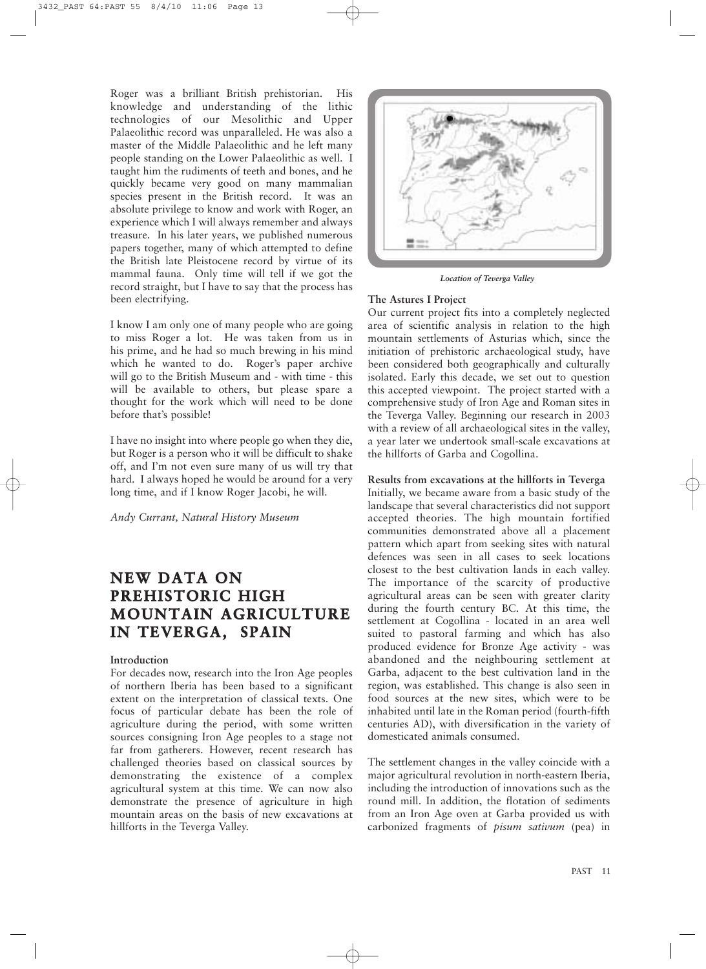Roger was a brilliant British prehistorian. His knowledge and understanding of the lithic technologies of our Mesolithic and Upper Palaeolithic record was unparalleled. He was also a master of the Middle Palaeolithic and he left many people standing on the Lower Palaeolithic as well. I taught him the rudiments of teeth and bones, and he quickly became very good on many mammalian species present in the British record. It was an absolute privilege to know and work with Roger, an experience which I will always remember and always treasure. In his later years, we published numerous papers together, many of which attempted to define the British late Pleistocene record by virtue of its mammal fauna. Only time will tell if we got the record straight, but I have to say that the process has been electrifying.

I know I am only one of many people who are going to miss Roger a lot. He was taken from us in his prime, and he had so much brewing in his mind which he wanted to do. Roger's paper archive will go to the British Museum and - with time - this will be available to others, but please spare a thought for the work which will need to be done before that's possible!

I have no insight into where people go when they die, but Roger is a person who it will be difficult to shake off, and I'm not even sure many of us will try that hard. I always hoped he would be around for a very long time, and if I know Roger Jacobi, he will.

*Andy Currant, Natural History Museum*

# **NEW DATA ON PREHISTORIC HIGH MOUNTAIN AGRICULTURE IN TEVERGA, SPAIN**

#### **Introduction**

For decades now, research into the Iron Age peoples of northern Iberia has been based to a significant extent on the interpretation of classical texts. One focus of particular debate has been the role of agriculture during the period, with some written sources consigning Iron Age peoples to a stage not far from gatherers. However, recent research has challenged theories based on classical sources by demonstrating the existence of a complex agricultural system at this time. We can now also demonstrate the presence of agriculture in high mountain areas on the basis of new excavations at hillforts in the Teverga Valley.



*Location of Teverga Valley*

#### **The Astures I Project**

Our current project fits into a completely neglected area of scientific analysis in relation to the high mountain settlements of Asturias which, since the initiation of prehistoric archaeological study, have been considered both geographically and culturally isolated. Early this decade, we set out to question this accepted viewpoint. The project started with a comprehensive study of Iron Age and Roman sites in the Teverga Valley. Beginning our research in 2003 with a review of all archaeological sites in the valley, a year later we undertook small-scale excavations at the hillforts of Garba and Cogollina.

**Results from excavations at the hillforts in Teverga** Initially, we became aware from a basic study of the landscape that several characteristics did not support accepted theories. The high mountain fortified communities demonstrated above all a placement pattern which apart from seeking sites with natural defences was seen in all cases to seek locations closest to the best cultivation lands in each valley. The importance of the scarcity of productive agricultural areas can be seen with greater clarity during the fourth century BC. At this time, the settlement at Cogollina - located in an area well suited to pastoral farming and which has also produced evidence for Bronze Age activity - was abandoned and the neighbouring settlement at Garba, adjacent to the best cultivation land in the region, was established. This change is also seen in food sources at the new sites, which were to be inhabited until late in the Roman period (fourth-fifth centuries AD), with diversification in the variety of domesticated animals consumed.

The settlement changes in the valley coincide with a major agricultural revolution in north-eastern Iberia, including the introduction of innovations such as the round mill. In addition, the flotation of sediments from an Iron Age oven at Garba provided us with carbonized fragments of *pisum sativum* (pea) in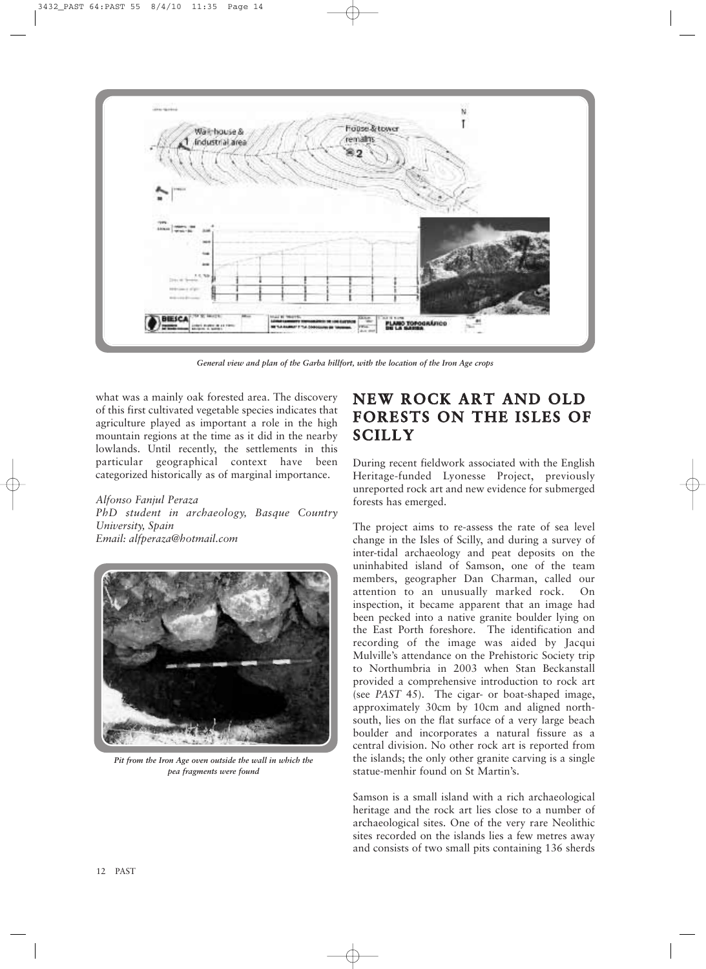

*General view and plan of the Garba hillfort, with the location of the Iron Age crops* 

what was a mainly oak forested area. The discovery of this first cultivated vegetable species indicates that agriculture played as important a role in the high mountain regions at the time as it did in the nearby lowlands. Until recently, the settlements in this particular geographical context have been categorized historically as of marginal importance.

*Alfonso Fanjul Peraza PhD student in archaeology, Basque Country University, Spain Email: alfperaza@hotmail.com*



*Pit from the Iron Age oven outside the wall in which the pea fragments were found*

# **NEW ROCK ART AND OLD FORESTS ON THE ISLES OF SCILLY**

During recent fieldwork associated with the English Heritage-funded Lyonesse Project, previously unreported rock art and new evidence for submerged forests has emerged.

The project aims to re-assess the rate of sea level change in the Isles of Scilly, and during a survey of inter-tidal archaeology and peat deposits on the uninhabited island of Samson, one of the team members, geographer Dan Charman, called our attention to an unusually marked rock. On inspection, it became apparent that an image had been pecked into a native granite boulder lying on the East Porth foreshore. The identification and recording of the image was aided by Jacqui Mulville's attendance on the Prehistoric Society trip to Northumbria in 2003 when Stan Beckanstall provided a comprehensive introduction to rock art (see *PAST* 45). The cigar- or boat-shaped image, approximately 30cm by 10cm and aligned northsouth, lies on the flat surface of a very large beach boulder and incorporates a natural fissure as a central division. No other rock art is reported from the islands; the only other granite carving is a single statue-menhir found on St Martin's.

Samson is a small island with a rich archaeological heritage and the rock art lies close to a number of archaeological sites. One of the very rare Neolithic sites recorded on the islands lies a few metres away and consists of two small pits containing 136 sherds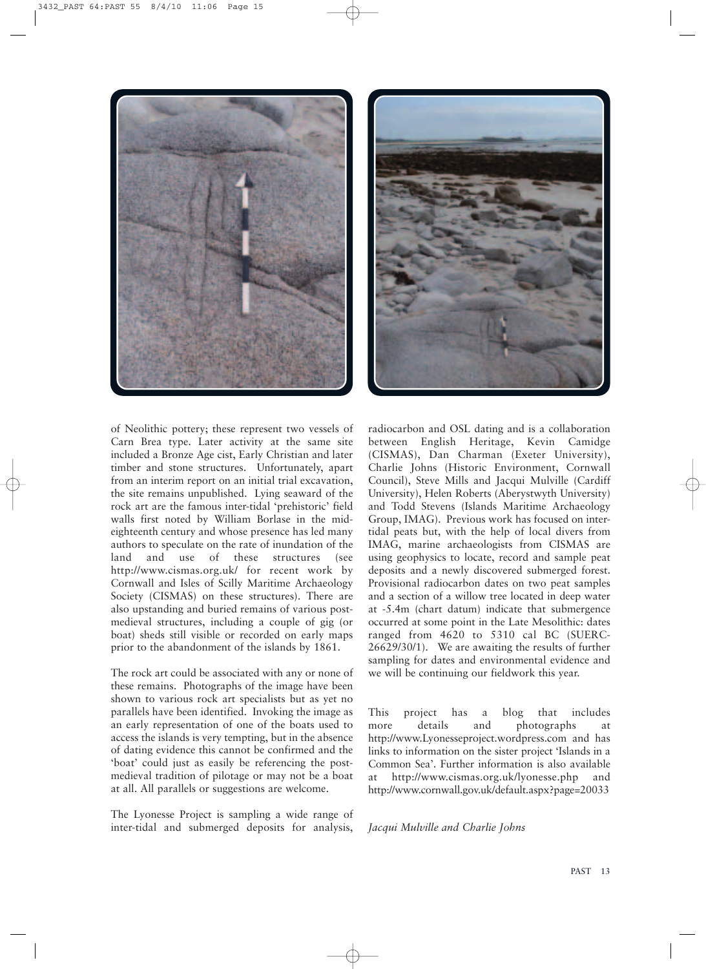



of Neolithic pottery; these represent two vessels of Carn Brea type. Later activity at the same site included a Bronze Age cist, Early Christian and later timber and stone structures. Unfortunately, apart from an interim report on an initial trial excavation, the site remains unpublished. Lying seaward of the rock art are the famous inter-tidal 'prehistoric' field walls first noted by William Borlase in the mideighteenth century and whose presence has led many authors to speculate on the rate of inundation of the land and use of these structures (see http://www.cismas.org.uk/ for recent work by Cornwall and Isles of Scilly Maritime Archaeology Society (CISMAS) on these structures). There are also upstanding and buried remains of various postmedieval structures, including a couple of gig (or boat) sheds still visible or recorded on early maps prior to the abandonment of the islands by 1861.

The rock art could be associated with any or none of these remains. Photographs of the image have been shown to various rock art specialists but as yet no parallels have been identified. Invoking the image as an early representation of one of the boats used to access the islands is very tempting, but in the absence of dating evidence this cannot be confirmed and the 'boat' could just as easily be referencing the postmedieval tradition of pilotage or may not be a boat at all. All parallels or suggestions are welcome.

The Lyonesse Project is sampling a wide range of inter-tidal and submerged deposits for analysis,

radiocarbon and OSL dating and is a collaboration between English Heritage, Kevin Camidge (CISMAS), Dan Charman (Exeter University), Charlie Johns (Historic Environment, Cornwall Council), Steve Mills and Jacqui Mulville (Cardiff University), Helen Roberts (Aberystwyth University) and Todd Stevens (Islands Maritime Archaeology Group, IMAG). Previous work has focused on intertidal peats but, with the help of local divers from IMAG, marine archaeologists from CISMAS are using geophysics to locate, record and sample peat deposits and a newly discovered submerged forest. Provisional radiocarbon dates on two peat samples and a section of a willow tree located in deep water at -5.4m (chart datum) indicate that submergence occurred at some point in the Late Mesolithic: dates ranged from 4620 to 5310 cal BC (SUERC-26629/30/1). We are awaiting the results of further sampling for dates and environmental evidence and we will be continuing our fieldwork this year.

This project has a blog that includes more details and photographs at http://www.Lyonesseproject.wordpress.com and has links to information on the sister project 'Islands in a Common Sea'. Further information is also available at http://www.cismas.org.uk/lyonesse.php and http://www.cornwall.gov.uk/default.aspx?page=20033

*Jacqui Mulville and Charlie Johns*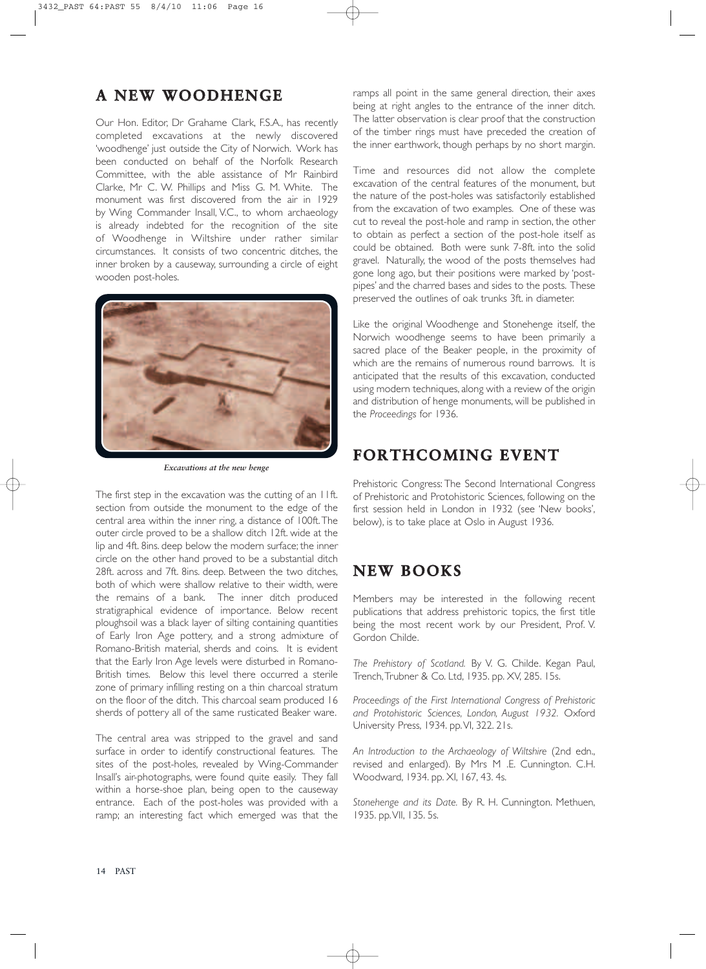### **A NEW WOODHENGE**

Our Hon. Editor, Dr Grahame Clark, F.S.A., has recently completed excavations at the newly discovered 'woodhenge' just outside the City of Norwich. Work has been conducted on behalf of the Norfolk Research Committee, with the able assistance of Mr Rainbird Clarke, Mr C. W. Phillips and Miss G. M. White. The monument was first discovered from the air in 1929 by Wing Commander Insall, V.C., to whom archaeology is already indebted for the recognition of the site of Woodhenge in Wiltshire under rather similar circumstances. It consists of two concentric ditches, the inner broken by a causeway, surrounding a circle of eight wooden post-holes.



*Excavations at the new henge*

The first step in the excavation was the cutting of an 11ft. section from outside the monument to the edge of the central area within the inner ring, a distance of 100ft.The outer circle proved to be a shallow ditch 12ft. wide at the lip and 4ft. 8ins. deep below the modern surface; the inner circle on the other hand proved to be a substantial ditch 28ft. across and 7ft. 8ins. deep. Between the two ditches, both of which were shallow relative to their width, were the remains of a bank. The inner ditch produced stratigraphical evidence of importance. Below recent ploughsoil was a black layer of silting containing quantities of Early Iron Age pottery, and a strong admixture of Romano-British material, sherds and coins. It is evident that the Early Iron Age levels were disturbed in Romano-British times. Below this level there occurred a sterile zone of primary infilling resting on a thin charcoal stratum on the floor of the ditch. This charcoal seam produced 16 sherds of pottery all of the same rusticated Beaker ware.

The central area was stripped to the gravel and sand surface in order to identify constructional features. The sites of the post-holes, revealed by Wing-Commander Insall's air-photographs, were found quite easily. They fall within a horse-shoe plan, being open to the causeway entrance. Each of the post-holes was provided with a ramp; an interesting fact which emerged was that the

ramps all point in the same general direction, their axes being at right angles to the entrance of the inner ditch. The latter observation is clear proof that the construction of the timber rings must have preceded the creation of the inner earthwork, though perhaps by no short margin.

Time and resources did not allow the complete excavation of the central features of the monument, but the nature of the post-holes was satisfactorily established from the excavation of two examples. One of these was cut to reveal the post-hole and ramp in section, the other to obtain as perfect a section of the post-hole itself as could be obtained. Both were sunk 7-8ft. into the solid gravel. Naturally, the wood of the posts themselves had gone long ago, but their positions were marked by 'postpipes' and the charred bases and sides to the posts. These preserved the outlines of oak trunks 3ft. in diameter.

Like the original Woodhenge and Stonehenge itself, the Norwich woodhenge seems to have been primarily a sacred place of the Beaker people, in the proximity of which are the remains of numerous round barrows. It is anticipated that the results of this excavation, conducted using modern techniques, along with a review of the origin and distribution of henge monuments, will be published in the *Proceedings* for 1936.

### **FORTHCOMING EVENT**

Prehistoric Congress: The Second International Congress of Prehistoric and Protohistoric Sciences, following on the first session held in London in 1932 (see 'New books', below), is to take place at Oslo in August 1936.

### **NEW BOOKS**

Members may be interested in the following recent publications that address prehistoric topics, the first title being the most recent work by our President, Prof. V. Gordon Childe.

*The Prehistory of Scotland.* By V. G. Childe. Kegan Paul, Trench,Trubner & Co. Ltd, 1935. pp. XV, 285. 15s.

*Proceedings of the First International Congress of Prehistoric and Protohistoric Sciences, London, August 1932.* Oxford University Press, 1934. pp.VI, 322. 21s.

*An Introduction to the Archaeology of Wiltshire* (2nd edn., revised and enlarged). By Mrs M .E. Cunnington. C.H. Woodward, 1934. pp. XI, 167, 43. 4s.

*Stonehenge and its Date.* By R. H. Cunnington. Methuen, 1935. pp.VII, 135. 5s.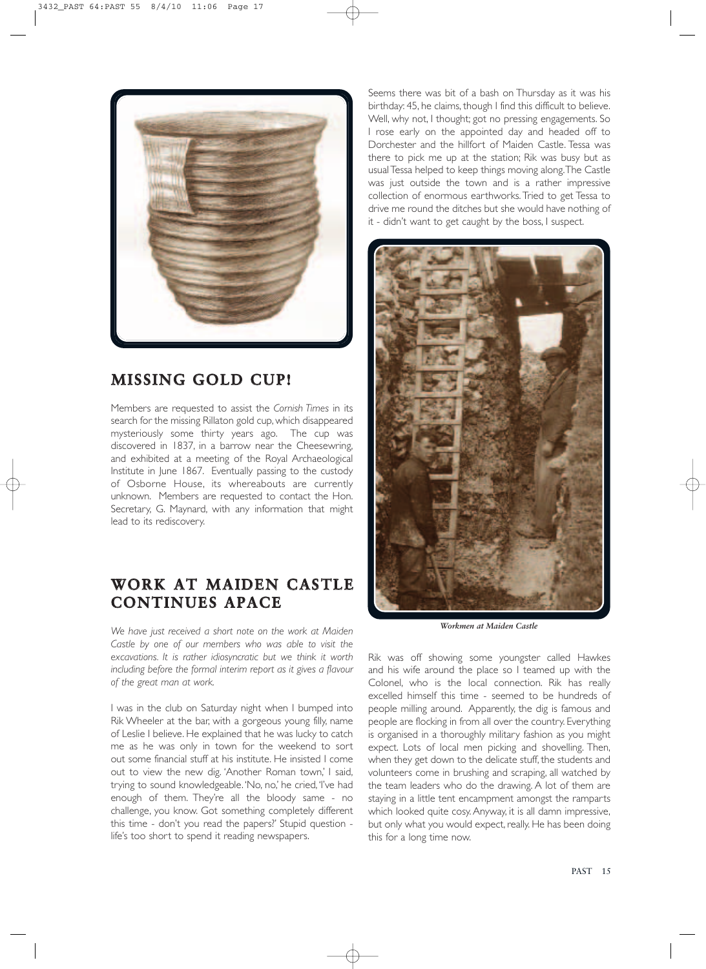

# **MISSING GOLD CUP!**

Members are requested to assist the *Cornish Times* in its search for the missing Rillaton gold cup, which disappeared mysteriously some thirty years ago. The cup was discovered in 1837, in a barrow near the Cheesewring, and exhibited at a meeting of the Royal Archaeological Institute in June 1867. Eventually passing to the custody of Osborne House, its whereabouts are currently unknown. Members are requested to contact the Hon. Secretary, G. Maynard, with any information that might lead to its rediscovery.

# **WORK AT MAIDEN CASTLE CONTINUES APACE**

*We have just received a short note on the work at Maiden Castle by one of our members who was able to visit the excavations. It is rather idiosyncratic but we think it worth including before the formal interim report as it gives a flavour of the great man at work.*

I was in the club on Saturday night when I bumped into Rik Wheeler at the bar, with a gorgeous young filly, name of Leslie I believe. He explained that he was lucky to catch me as he was only in town for the weekend to sort out some financial stuff at his institute. He insisted I come out to view the new dig. 'Another Roman town,' I said, trying to sound knowledgeable. 'No, no,' he cried, 'I've had enough of them. They're all the bloody same - no challenge, you know. Got something completely different this time - don't you read the papers?' Stupid question life's too short to spend it reading newspapers.

Seems there was bit of a bash on Thursday as it was his birthday: 45, he claims, though I find this difficult to believe. Well, why not, I thought; got no pressing engagements. So I rose early on the appointed day and headed off to Dorchester and the hillfort of Maiden Castle. Tessa was there to pick me up at the station; Rik was busy but as usualTessa helped to keep things moving along.The Castle was just outside the town and is a rather impressive collection of enormous earthworks.Tried to get Tessa to drive me round the ditches but she would have nothing of it - didn't want to get caught by the boss, I suspect.



*Workmen at Maiden Castle*

Rik was off showing some youngster called Hawkes and his wife around the place so I teamed up with the Colonel, who is the local connection. Rik has really excelled himself this time - seemed to be hundreds of people milling around. Apparently, the dig is famous and people are flocking in from all over the country. Everything is organised in a thoroughly military fashion as you might expect. Lots of local men picking and shovelling. Then, when they get down to the delicate stuff, the students and volunteers come in brushing and scraping, all watched by the team leaders who do the drawing. A lot of them are staying in a little tent encampment amongst the ramparts which looked quite cosy.Anyway, it is all damn impressive, but only what you would expect, really. He has been doing this for a long time now.